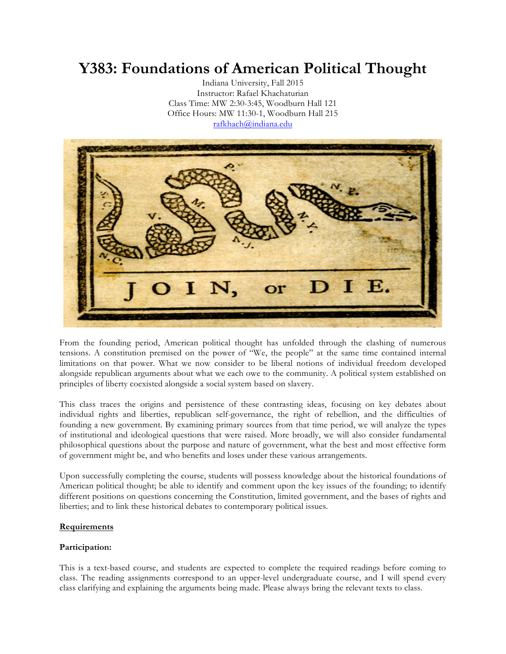# **Y383: Foundations of American Political Thought**

Indiana University, Fall 2015 Instructor: Rafael Khachaturian Class Time: MW 2:30-3:45, Woodburn Hall 121 Office Hours: MW 11:30-1, Woodburn Hall 215 rafkhach@indiana.edu



From the founding period, American political thought has unfolded through the clashing of numerous tensions. A constitution premised on the power of "We, the people" at the same time contained internal limitations on that power. What we now consider to be liberal notions of individual freedom developed alongside republican arguments about what we each owe to the community. A political system established on principles of liberty coexisted alongside a social system based on slavery.

This class traces the origins and persistence of these contrasting ideas, focusing on key debates about individual rights and liberties, republican self-governance, the right of rebellion, and the difficulties of founding a new government. By examining primary sources from that time period, we will analyze the types of institutional and ideological questions that were raised. More broadly, we will also consider fundamental philosophical questions about the purpose and nature of government, what the best and most effective form of government might be, and who benefits and loses under these various arrangements.

Upon successfully completing the course, students will possess knowledge about the historical foundations of American political thought; be able to identify and comment upon the key issues of the founding; to identify different positions on questions concerning the Constitution, limited government, and the bases of rights and liberties; and to link these historical debates to contemporary political issues.

# **Requirements**

# **Participation:**

This is a text-based course, and students are expected to complete the required readings before coming to class. The reading assignments correspond to an upper-level undergraduate course, and I will spend every class clarifying and explaining the arguments being made. Please always bring the relevant texts to class.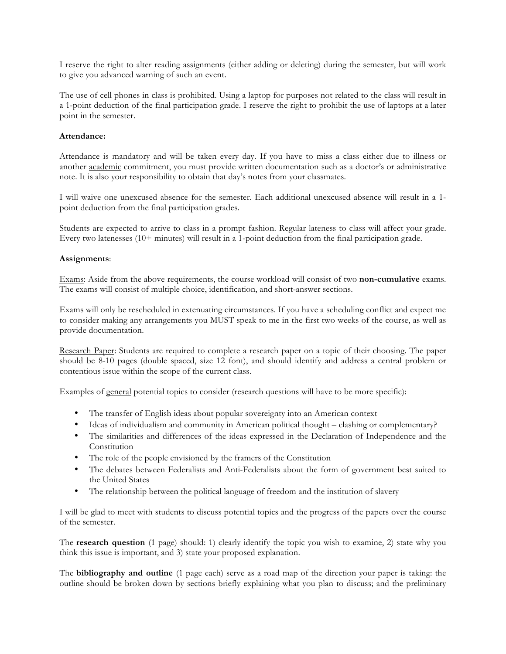I reserve the right to alter reading assignments (either adding or deleting) during the semester, but will work to give you advanced warning of such an event.

The use of cell phones in class is prohibited. Using a laptop for purposes not related to the class will result in a 1-point deduction of the final participation grade. I reserve the right to prohibit the use of laptops at a later point in the semester.

## **Attendance:**

Attendance is mandatory and will be taken every day. If you have to miss a class either due to illness or another academic commitment, you must provide written documentation such as a doctor's or administrative note. It is also your responsibility to obtain that day's notes from your classmates.

I will waive one unexcused absence for the semester. Each additional unexcused absence will result in a 1 point deduction from the final participation grades.

Students are expected to arrive to class in a prompt fashion. Regular lateness to class will affect your grade. Every two latenesses (10+ minutes) will result in a 1-point deduction from the final participation grade.

## **Assignments**:

Exams: Aside from the above requirements, the course workload will consist of two **non-cumulative** exams. The exams will consist of multiple choice, identification, and short-answer sections.

Exams will only be rescheduled in extenuating circumstances. If you have a scheduling conflict and expect me to consider making any arrangements you MUST speak to me in the first two weeks of the course, as well as provide documentation.

Research Paper: Students are required to complete a research paper on a topic of their choosing. The paper should be 8-10 pages (double spaced, size 12 font), and should identify and address a central problem or contentious issue within the scope of the current class.

Examples of general potential topics to consider (research questions will have to be more specific):

- The transfer of English ideas about popular sovereignty into an American context
- Ideas of individualism and community in American political thought clashing or complementary?
- The similarities and differences of the ideas expressed in the Declaration of Independence and the Constitution
- The role of the people envisioned by the framers of the Constitution
- The debates between Federalists and Anti-Federalists about the form of government best suited to the United States
- The relationship between the political language of freedom and the institution of slavery

I will be glad to meet with students to discuss potential topics and the progress of the papers over the course of the semester.

The **research question** (1 page) should: 1) clearly identify the topic you wish to examine, 2) state why you think this issue is important, and 3) state your proposed explanation.

The **bibliography and outline** (1 page each) serve as a road map of the direction your paper is taking: the outline should be broken down by sections briefly explaining what you plan to discuss; and the preliminary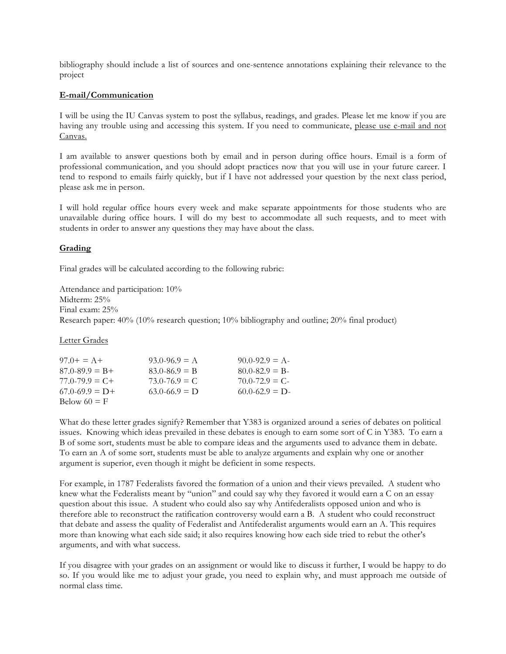bibliography should include a list of sources and one-sentence annotations explaining their relevance to the project

#### **E-mail/Communication**

I will be using the IU Canvas system to post the syllabus, readings, and grades. Please let me know if you are having any trouble using and accessing this system. If you need to communicate, please use e-mail and not Canvas.

I am available to answer questions both by email and in person during office hours. Email is a form of professional communication, and you should adopt practices now that you will use in your future career. I tend to respond to emails fairly quickly, but if I have not addressed your question by the next class period, please ask me in person.

I will hold regular office hours every week and make separate appointments for those students who are unavailable during office hours. I will do my best to accommodate all such requests, and to meet with students in order to answer any questions they may have about the class.

## **Grading**

Final grades will be calculated according to the following rubric:

Attendance and participation: 10% Midterm: 25% Final exam: 25% Research paper: 40% (10% research question; 10% bibliography and outline; 20% final product)

Letter Grades

| $97.0+ = A+$        | $93.0 - 96.9 = A$ | $90.0 - 92.9 = A$ |
|---------------------|-------------------|-------------------|
| $87.0 - 89.9 = B +$ | $83.0 - 86.9 = B$ | $80.0 - 82.9 = B$ |
| $77.0 - 79.9 = C +$ | $73.0 - 76.9 = C$ | $70.0 - 72.9 = C$ |
| $67.0 - 69.9 = D +$ | $63.0 - 66.9 = D$ | $60.0 - 62.9 = D$ |
| Below $60 = F$      |                   |                   |

What do these letter grades signify? Remember that Y383 is organized around a series of debates on political issues. Knowing which ideas prevailed in these debates is enough to earn some sort of C in Y383. To earn a B of some sort, students must be able to compare ideas and the arguments used to advance them in debate. To earn an A of some sort, students must be able to analyze arguments and explain why one or another argument is superior, even though it might be deficient in some respects.

For example, in 1787 Federalists favored the formation of a union and their views prevailed. A student who knew what the Federalists meant by "union" and could say why they favored it would earn a C on an essay question about this issue. A student who could also say why Antifederalists opposed union and who is therefore able to reconstruct the ratification controversy would earn a B. A student who could reconstruct that debate and assess the quality of Federalist and Antifederalist arguments would earn an A. This requires more than knowing what each side said; it also requires knowing how each side tried to rebut the other's arguments, and with what success.

If you disagree with your grades on an assignment or would like to discuss it further, I would be happy to do so. If you would like me to adjust your grade, you need to explain why, and must approach me outside of normal class time.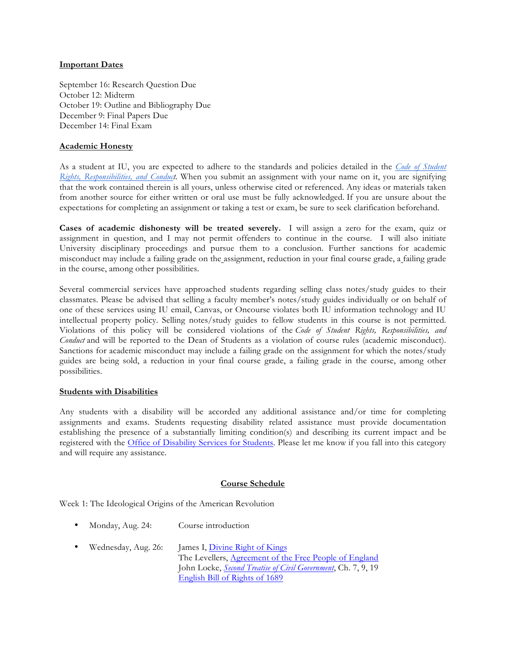## **Important Dates**

September 16: Research Question Due October 12: Midterm October 19: Outline and Bibliography Due December 9: Final Papers Due December 14: Final Exam

#### **Academic Honesty**

As a student at IU, you are expected to adhere to the standards and policies detailed in the *Code of Student Rights, Responsibilities, and Conduct*. When you submit an assignment with your name on it, you are signifying that the work contained therein is all yours, unless otherwise cited or referenced. Any ideas or materials taken from another source for either written or oral use must be fully acknowledged. If you are unsure about the expectations for completing an assignment or taking a test or exam, be sure to seek clarification beforehand.

**Cases of academic dishonesty will be treated severely.** I will assign a zero for the exam, quiz or assignment in question, and I may not permit offenders to continue in the course. I will also initiate University disciplinary proceedings and pursue them to a conclusion. Further sanctions for academic misconduct may include a failing grade on the assignment, reduction in your final course grade, a failing grade in the course, among other possibilities.

Several commercial services have approached students regarding selling class notes/study guides to their classmates. Please be advised that selling a faculty member's notes/study guides individually or on behalf of one of these services using IU email, Canvas, or Oncourse violates both IU information technology and IU intellectual property policy. Selling notes/study guides to fellow students in this course is not permitted. Violations of this policy will be considered violations of the *Code of Student Rights, Responsibilities, and Conduct* and will be reported to the Dean of Students as a violation of course rules (academic misconduct). Sanctions for academic misconduct may include a failing grade on the assignment for which the notes/study guides are being sold, a reduction in your final course grade, a failing grade in the course, among other possibilities.

#### **Students with Disabilities**

Any students with a disability will be accorded any additional assistance and/or time for completing assignments and exams. Students requesting disability related assistance must provide documentation establishing the presence of a substantially limiting condition(s) and describing its current impact and be registered with the Office of Disability Services for Students. Please let me know if you fall into this category and will require any assistance.

#### **Course Schedule**

Week 1: The Ideological Origins of the American Revolution

- Monday, Aug. 24: Course introduction
- Wednesday, Aug. 26: James I, Divine Right of Kings The Levellers, Agreement of the Free People of England John Locke, *Second Treatise of Civil Government*, Ch. 7, 9, 19 English Bill of Rights of 1689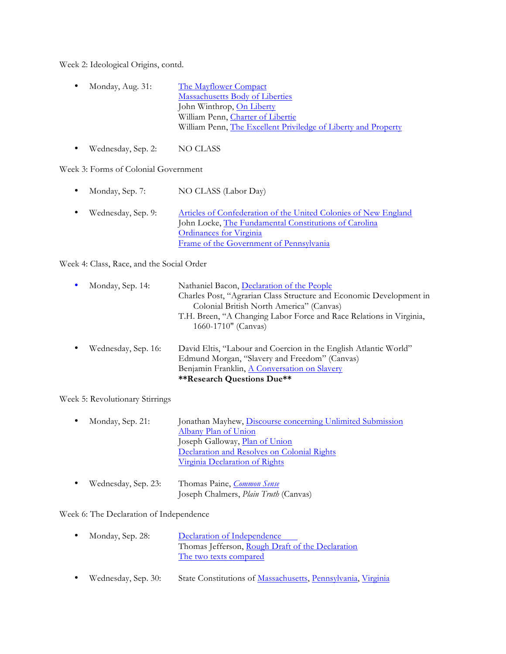Week 2: Ideological Origins, contd.

- Monday, Aug. 31: The Mayflower Compact Massachusetts Body of Liberties John Winthrop, On Liberty William Penn, Charter of Libertie William Penn, The Excellent Priviledge of Liberty and Property
- Wednesday, Sep. 2: NO CLASS

Week 3: Forms of Colonial Government

- Monday, Sep. 7: NO CLASS (Labor Day)
- Wednesday, Sep. 9: Articles of Confederation of the United Colonies of New England John Locke, The Fundamental Constitutions of Carolina Ordinances for Virginia Frame of the Government of Pennsylvania

Week 4: Class, Race, and the Social Order

| Monday, Sep. 14:    | Nathaniel Bacon, Declaration of the People<br>Charles Post, "Agrarian Class Structure and Economic Development in<br>Colonial British North America" (Canvas)<br>T.H. Breen, "A Changing Labor Force and Race Relations in Virginia,<br>1660-1710" (Canvas) |
|---------------------|-------------------------------------------------------------------------------------------------------------------------------------------------------------------------------------------------------------------------------------------------------------|
| Wednesday, Sep. 16: | David Eltis, "Labour and Coercion in the English Atlantic World"<br>Edmund Morgan, "Slavery and Freedom" (Canvas)<br>Benjamin Franklin, A Conversation on Slavery<br><b>**Research Questions Due**</b>                                                      |

Week 5: Revolutionary Stirrings

| $\bullet$ | Monday, Sep. 21: | Jonathan Mayhew, Discourse concerning Unlimited Submission |
|-----------|------------------|------------------------------------------------------------|
|           |                  | Albany Plan of Union                                       |
|           |                  | Joseph Galloway, <i>Plan of Union</i>                      |
|           |                  | Declaration and Resolves on Colonial Rights                |
|           |                  | Virginia Declaration of Rights                             |
|           |                  |                                                            |

• Wednesday, Sep. 23: Thomas Paine, *Common Sense* Joseph Chalmers, *Plain Truth* (Canvas)

# Week 6: The Declaration of Independence

- Monday, Sep. 28: Declaration of Independence Thomas Jefferson, Rough Draft of the Declaration The two texts compared
- Wednesday, Sep. 30: State Constitutions of Massachusetts, Pennsylvania, Virginia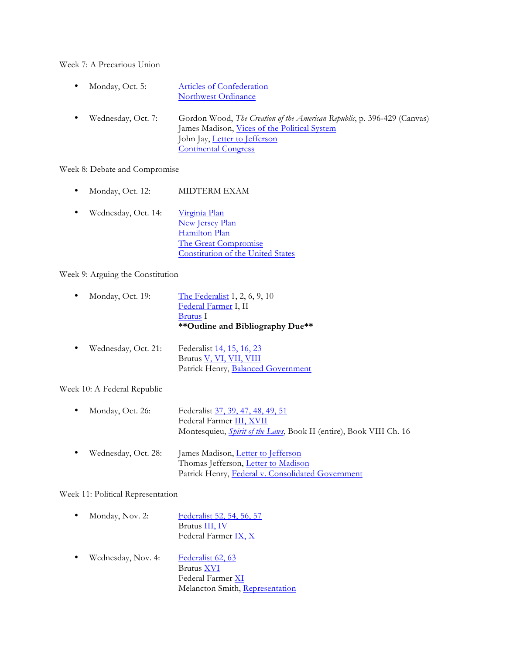Week 7: A Precarious Union

- Monday, Oct. 5: Articles of Confederation Northwest Ordinance
- Wednesday, Oct. 7: Gordon Wood, *The Creation of the American Republic*, p. 396-429 (Canvas) James Madison, Vices of the Political System John Jay, Letter to Jefferson Continental Congress

Week 8: Debate and Compromise

- Monday, Oct. 12: MIDTERM EXAM
- Wednesday, Oct. 14: Virginia Plan New Jersey Plan Hamilton Plan The Great Compromise Constitution of the United States

Week 9: Arguing the Constitution

- Monday, Oct. 19: The Federalist 1, 2, 6, 9, 10 Federal Farmer I, II Brutus I **\*\*Outline and Bibliography Due\*\***
- Wednesday, Oct. 21: Federalist 14, 15, 16, 23 Brutus V, VI, VII, VIII Patrick Henry, Balanced Government

Week 10: A Federal Republic

- Monday, Oct. 26: Federalist 37, 39, 47, 48, 49, 51 Federal Farmer III, XVII Montesquieu, *Spirit of the Laws*, Book II (entire), Book VIII Ch. 16
- Wednesday, Oct. 28: James Madison, Letter to Jefferson Thomas Jefferson, Letter to Madison Patrick Henry, Federal v. Consolidated Government

Week 11: Political Representation

- Monday, Nov. 2: Federalist 52, 54, 56, 57 Brutus III, IV Federal Farmer IX, X
- Wednesday, Nov. 4: Federalist 62, 63 Brutus XVI Federal Farmer XI Melancton Smith, Representation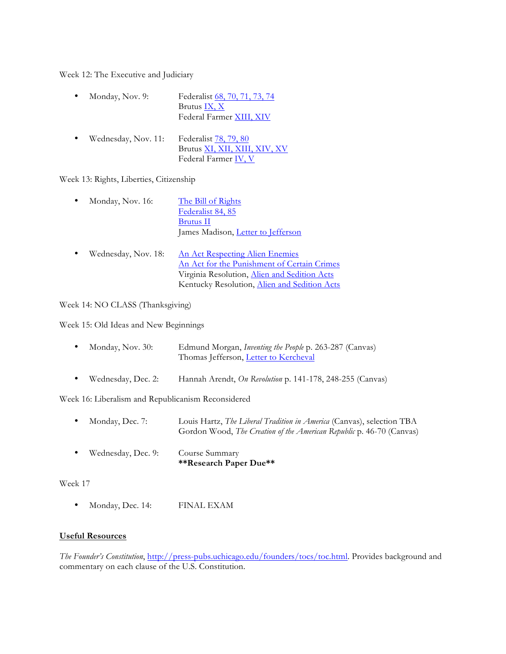Week 12: The Executive and Judiciary

| $\bullet$ | Monday, Nov. 9: | Federalist 68, 70, 71, 73, 74 |
|-----------|-----------------|-------------------------------|
|           |                 | Brutus IX, X                  |
|           |                 | Federal Farmer XIII, XIV      |

• Wednesday, Nov. 11: Federalist 78, 79, 80 Brutus XI, XII, XIII, XIV, XV Federal Farmer IV, V

Week 13: Rights, Liberties, Citizenship

| Monday, Nov. 16:    | The Bill of Rights<br>Federalist 84, 85<br><b>Brutus</b> II<br>James Madison, Letter to Jefferson                                                                              |
|---------------------|--------------------------------------------------------------------------------------------------------------------------------------------------------------------------------|
| Wednesday, Nov. 18: | An Act Respecting Alien Enemies<br>An Act for the Punishment of Certain Crimes<br>Virginia Resolution, Alien and Sedition Acts<br>Kentucky Resolution, Alien and Sedition Acts |

Week 14: NO CLASS (Thanksgiving)

Week 15: Old Ideas and New Beginnings

| Monday, Nov. 30: | Edmund Morgan, <i>Inventing the People p.</i> 263-287 (Canvas) |
|------------------|----------------------------------------------------------------|
|                  | Thomas Jefferson, Letter to Kercheval                          |

• Wednesday, Dec. 2: Hannah Arendt, *On Revolution* p. 141-178, 248-255 (Canvas)

Week 16: Liberalism and Republicanism Reconsidered

- Monday, Dec. 7: Louis Hartz, *The Liberal Tradition in America* (Canvas), selection TBA Gordon Wood, *The Creation of the American Republic* p. 46-70 (Canvas)
- Wednesday, Dec. 9: Course Summary **\*\*Research Paper Due\*\***

Week 17

• Monday, Dec. 14: FINAL EXAM

# **Useful Resources**

*The Founder's Constitution*, http://press-pubs.uchicago.edu/founders/tocs/toc.html. Provides background and commentary on each clause of the U.S. Constitution.